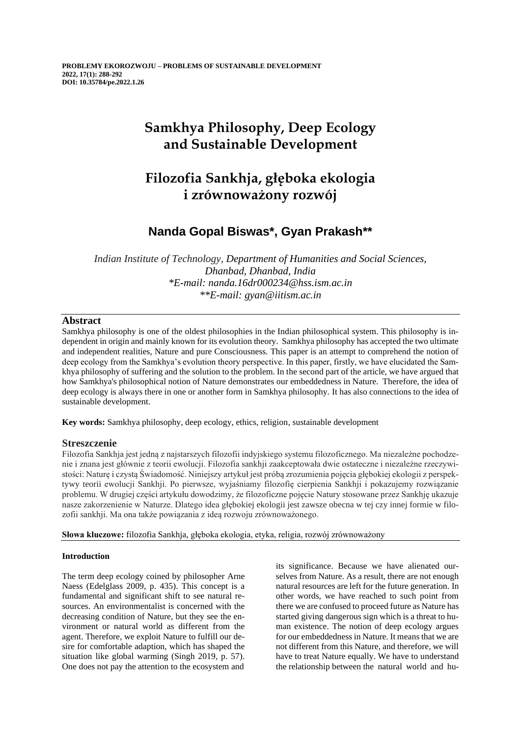# **Samkhya Philosophy, Deep Ecology and Sustainable Development**

# **Filozofia Sankhja, głęboka ekologia i zrównoważony rozwój**

## **Nanda Gopal Biswas\*, Gyan Prakash\*\***

*Indian Institute of Technology, Department of Humanities and Social Sciences, Dhanbad, Dhanbad, India \*E-mail: nanda.16dr000234@hss.ism.ac.in \*\*E-mail: gyan@iitism.ac.in*

### **Abstract**

Samkhya philosophy is one of the oldest philosophies in the Indian philosophical system. This philosophy is independent in origin and mainly known for its evolution theory. Samkhya philosophy has accepted the two ultimate and independent realities, Nature and pure Consciousness. This paper is an attempt to comprehend the notion of deep ecology from the Samkhya's evolution theory perspective. In this paper, firstly, we have elucidated the Samkhya philosophy of suffering and the solution to the problem. In the second part of the article, we have argued that how Samkhya's philosophical notion of Nature demonstrates our embeddedness in Nature. Therefore, the idea of deep ecology is always there in one or another form in Samkhya philosophy. It has also connections to the idea of sustainable development.

**Key words:** Samkhya philosophy, deep ecology, ethics, religion, sustainable development

### **Streszczenie**

Filozofia Sankhja jest jedną z najstarszych filozofii indyjskiego systemu filozoficznego. Ma niezależne pochodzenie i znana jest głównie z teorii ewolucji. Filozofia sankhji zaakceptowała dwie ostateczne i niezależne rzeczywistości: Naturę i czystą Świadomość. Niniejszy artykuł jest próbą zrozumienia pojęcia głębokiej ekologii z perspektywy teorii ewolucji Sankhji. Po pierwsze, wyjaśniamy filozofię cierpienia Sankhji i pokazujemy rozwiązanie problemu. W drugiej części artykułu dowodzimy, że filozoficzne pojęcie Natury stosowane przez Sankhję ukazuje nasze zakorzenienie w Naturze. Dlatego idea głębokiej ekologii jest zawsze obecna w tej czy innej formie w filozofii sankhji. Ma ona także powiązania z ideą rozwoju zrównoważonego.

**Słowa kluczowe:** filozofia Sankhja, głęboka ekologia, etyka, religia, rozwój zrównoważony

### **Introduction**

The term deep ecology coined by philosopher Arne Naess (Edelglass 2009, p. 435). This concept is a fundamental and significant shift to see natural resources. An environmentalist is concerned with the decreasing condition of Nature, but they see the environment or natural world as different from the agent. Therefore, we exploit Nature to fulfill our desire for comfortable adaption, which has shaped the situation like global warming (Singh 2019, p. 57). One does not pay the attention to the ecosystem and

its significance. Because we have alienated ourselves from Nature. As a result, there are not enough natural resources are left for the future generation. In other words, we have reached to such point from there we are confused to proceed future as Nature has started giving dangerous sign which is a threat to human existence. The notion of deep ecology argues for our embeddedness in Nature. It means that we are not different from this Nature, and therefore, we will have to treat Nature equally. We have to understand the relationship between the natural world and hu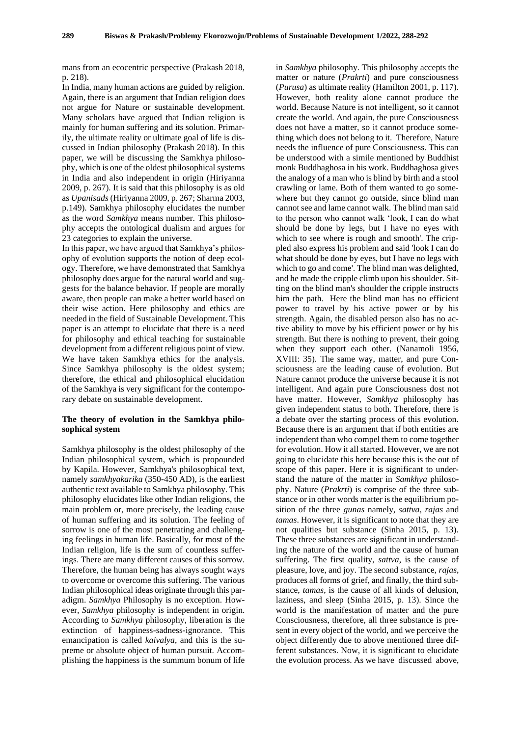mans from an ecocentric perspective (Prakash 2018, p. 218).

In India, many human actions are guided by religion. Again, there is an argument that Indian religion does not argue for Nature or sustainable development. Many scholars have argued that Indian religion is mainly for human suffering and its solution. Primarily, the ultimate reality or ultimate goal of life is discussed in Indian philosophy (Prakash 2018). In this paper, we will be discussing the Samkhya philosophy, which is one of the oldest philosophical systems in India and also independent in origin (Hiriyanna 2009, p. 267). It is said that this philosophy is as old as *Upanisads*(Hiriyanna 2009, p. 267; Sharma 2003, p.149). Samkhya philosophy elucidates the number as the word *Samkhya* means number. This philosophy accepts the ontological dualism and argues for 23 categories to explain the universe.

In this paper, we have argued that Samkhya's philosophy of evolution supports the notion of deep ecology. Therefore, we have demonstrated that Samkhya philosophy does argue for the natural world and suggests for the balance behavior. If people are morally aware, then people can make a better world based on their wise action. Here philosophy and ethics are needed in the field of Sustainable Development. This paper is an attempt to elucidate that there is a need for philosophy and ethical teaching for sustainable development from a different religious point of view. We have taken Samkhya ethics for the analysis. Since Samkhya philosophy is the oldest system; therefore, the ethical and philosophical elucidation of the Samkhya is very significant for the contemporary debate on sustainable development.

#### **The theory of evolution in the Samkhya philosophical system**

Samkhya philosophy is the oldest philosophy of the Indian philosophical system, which is propounded by Kapila. However, Samkhya's philosophical text, namely *samkhyakarika* (350-450 AD), is the earliest authentic text available to Samkhya philosophy. This philosophy elucidates like other Indian religions, the main problem or, more precisely, the leading cause of human suffering and its solution. The feeling of sorrow is one of the most penetrating and challenging feelings in human life. Basically, for most of the Indian religion, life is the sum of countless sufferings. There are many different causes of this sorrow. Therefore, the human being has always sought ways to overcome or overcome this suffering. The various Indian philosophical ideas originate through this paradigm. *Samkhya* Philosophy is no exception. However, *Samkhya* philosophy is independent in origin. According to *Samkhya* philosophy, liberation is the extinction of happiness-sadness-ignorance. This emancipation is called *kaivalya*, and this is the supreme or absolute object of human pursuit. Accomplishing the happiness is the summum bonum of life

in *Samkhya* philosophy. This philosophy accepts the matter or nature (*Prakrti*) and pure consciousness (*Purusa*) as ultimate reality (Hamilton 2001, p. 117). However, both reality alone cannot produce the world. Because Nature is not intelligent, so it cannot create the world. And again, the pure Consciousness does not have a matter, so it cannot produce something which does not belong to it. Therefore, Nature needs the influence of pure Consciousness. This can be understood with a simile mentioned by Buddhist monk Buddhaghosa in his work. Buddhaghosa gives the analogy of a man who is blind by birth and a stool crawling or lame. Both of them wanted to go somewhere but they cannot go outside, since blind man cannot see and lame cannot walk. The blind man said to the person who cannot walk 'look, I can do what should be done by legs, but I have no eyes with which to see where is rough and smooth'. The crippled also express his problem and said 'look I can do what should be done by eyes, but I have no legs with which to go and come'. The blind man was delighted, and he made the cripple climb upon his shoulder. Sitting on the blind man's shoulder the cripple instructs him the path. Here the blind man has no efficient power to travel by his active power or by his strength. Again, the disabled person also has no active ability to move by his efficient power or by his strength. But there is nothing to prevent, their going when they support each other. (Nanamoli 1956, XVIII: 35). The same way, matter, and pure Consciousness are the leading cause of evolution. But Nature cannot produce the universe because it is not intelligent. And again pure Consciousness dost not have matter. However, *Samkhya* philosophy has given independent status to both. Therefore, there is a debate over the starting process of this evolution. Because there is an argument that if both entities are independent than who compel them to come together for evolution. How it all started. However, we are not going to elucidate this here because this is the out of scope of this paper. Here it is significant to understand the nature of the matter in *Samkhya* philosophy. Nature (*Prakrti*) is comprise of the three substance or in other words matter is the equilibrium position of the three *gunas* namely, *sattva*, *rajas* and *tamas*. However, it is significant to note that they are not qualities but substance (Sinha 2015, p. 13). These three substances are significant in understanding the nature of the world and the cause of human suffering. The first quality, *sattva*, is the cause of pleasure, love, and joy. The second substance, *rajas*, produces all forms of grief, and finally, the third substance, *tamas*, is the cause of all kinds of delusion, laziness, and sleep (Sinha 2015, p. 13). Since the world is the manifestation of matter and the pure Consciousness, therefore, all three substance is present in every object of the world, and we perceive the object differently due to above mentioned three different substances. Now, it is significant to elucidate the evolution process. As we have discussed above,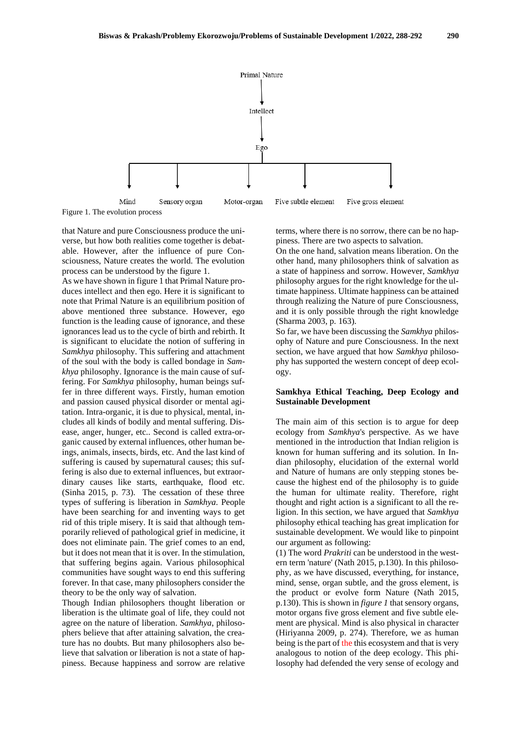

Figure 1. The evolution process

that Nature and pure Consciousness produce the universe, but how both realities come together is debatable. However, after the influence of pure Consciousness, Nature creates the world. The evolution process can be understood by the figure 1.

As we have shown in figure 1 that Primal Nature produces intellect and then ego. Here it is significant to note that Primal Nature is an equilibrium position of above mentioned three substance. However, ego function is the leading cause of ignorance, and these ignorances lead us to the cycle of birth and rebirth. It is significant to elucidate the notion of suffering in *Samkhya* philosophy. This suffering and attachment of the soul with the body is called bondage in *Samkhya* philosophy. Ignorance is the main cause of suffering. For *Samkhya* philosophy, human beings suffer in three different ways. Firstly, human emotion and passion caused physical disorder or mental agitation. Intra-organic, it is due to physical, mental, includes all kinds of bodily and mental suffering. Disease, anger, hunger, etc.. Second is called extra-organic caused by external influences, other human beings, animals, insects, birds, etc. And the last kind of suffering is caused by supernatural causes; this suffering is also due to external influences, but extraordinary causes like starts, earthquake, flood etc. (Sinha 2015, p. 73). The cessation of these three types of suffering is liberation in *Samkhya*. People have been searching for and inventing ways to get rid of this triple misery. It is said that although temporarily relieved of pathological grief in medicine, it does not eliminate pain. The grief comes to an end, but it does not mean that it is over. In the stimulation, that suffering begins again. Various philosophical communities have sought ways to end this suffering forever. In that case, many philosophers consider the theory to be the only way of salvation.

Though Indian philosophers thought liberation or liberation is the ultimate goal of life, they could not agree on the nature of liberation. *Samkhya*, philosophers believe that after attaining salvation, the creature has no doubts. But many philosophers also believe that salvation or liberation is not a state of happiness. Because happiness and sorrow are relative terms, where there is no sorrow, there can be no happiness. There are two aspects to salvation.

On the one hand, salvation means liberation. On the other hand, many philosophers think of salvation as a state of happiness and sorrow. However, *Samkhya* philosophy argues for the right knowledge for the ultimate happiness. Ultimate happiness can be attained through realizing the Nature of pure Consciousness, and it is only possible through the right knowledge (Sharma 2003, p. 163).

So far, we have been discussing the *Samkhya* philosophy of Nature and pure Consciousness. In the next section, we have argued that how *Samkhya* philosophy has supported the western concept of deep ecology.

#### **Samkhya Ethical Teaching, Deep Ecology and Sustainable Development**

The main aim of this section is to argue for deep ecology from *Samkhya*'s perspective. As we have mentioned in the introduction that Indian religion is known for human suffering and its solution. In Indian philosophy, elucidation of the external world and Nature of humans are only stepping stones because the highest end of the philosophy is to guide the human for ultimate reality. Therefore, right thought and right action is a significant to all the religion. In this section, we have argued that *Samkhya* philosophy ethical teaching has great implication for sustainable development. We would like to pinpoint our argument as following:

(1) The word *Prakriti* can be understood in the western term 'nature' (Nath 2015, p.130). In this philosophy, as we have discussed, everything, for instance, mind, sense, organ subtle, and the gross element, is the product or evolve form Nature (Nath 2015, p.130). This is shown in *figure 1* that sensory organs, motor organs five gross element and five subtle element are physical. Mind is also physical in character (Hiriyanna 2009, p. 274). Therefore, we as human being is the part of the this ecosystem and that is very analogous to notion of the deep ecology. This philosophy had defended the very sense of ecology and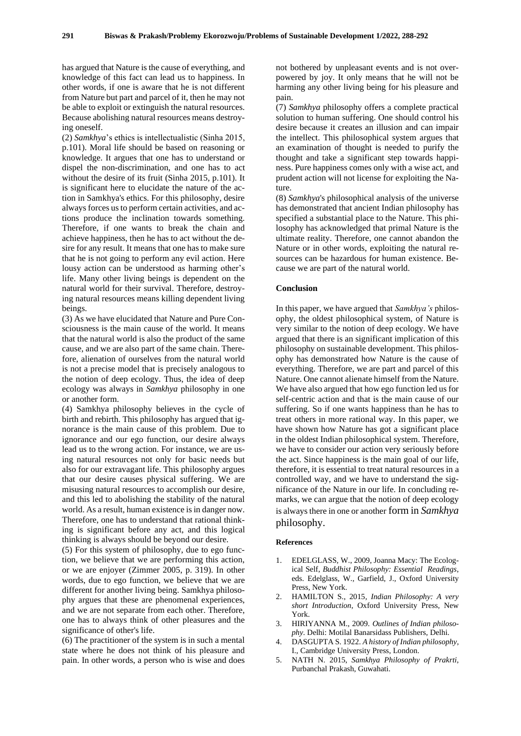has argued that Nature is the cause of everything, and knowledge of this fact can lead us to happiness. In other words, if one is aware that he is not different from Nature but part and parcel of it, then he may not be able to exploit or extinguish the natural resources. Because abolishing natural resources means destroying oneself.

(2) *Samkhya*'s ethics is intellectualistic (Sinha 2015, p.101). Moral life should be based on reasoning or knowledge. It argues that one has to understand or dispel the non-discrimination, and one has to act without the desire of its fruit (Sinha 2015, p.101). It is significant here to elucidate the nature of the action in Samkhya's ethics. For this philosophy, desire always forces us to perform certain activities, and actions produce the inclination towards something. Therefore, if one wants to break the chain and achieve happiness, then he has to act without the desire for any result. It means that one has to make sure that he is not going to perform any evil action. Here lousy action can be understood as harming other's life. Many other living beings is dependent on the natural world for their survival. Therefore, destroying natural resources means killing dependent living beings.

(3) As we have elucidated that Nature and Pure Consciousness is the main cause of the world. It means that the natural world is also the product of the same cause, and we are also part of the same chain. Therefore, alienation of ourselves from the natural world is not a precise model that is precisely analogous to the notion of deep ecology. Thus, the idea of deep ecology was always in *Samkhya* philosophy in one or another form.

(4) Samkhya philosophy believes in the cycle of birth and rebirth. This philosophy has argued that ignorance is the main cause of this problem. Due to ignorance and our ego function, our desire always lead us to the wrong action. For instance, we are using natural resources not only for basic needs but also for our extravagant life. This philosophy argues that our desire causes physical suffering. We are misusing natural resources to accomplish our desire, and this led to abolishing the stability of the natural world. As a result, human existence is in danger now. Therefore, one has to understand that rational thinking is significant before any act, and this logical thinking is always should be beyond our desire.

(5) For this system of philosophy, due to ego function, we believe that we are performing this action, or we are enjoyer (Zimmer 2005, p. 319). In other words, due to ego function, we believe that we are different for another living being. Samkhya philosophy argues that these are phenomenal experiences, and we are not separate from each other. Therefore, one has to always think of other pleasures and the significance of other's life.

(6) The practitioner of the system is in such a mental state where he does not think of his pleasure and pain. In other words, a person who is wise and does

not bothered by unpleasant events and is not overpowered by joy. It only means that he will not be harming any other living being for his pleasure and pain.

(7) *Samkhya* philosophy offers a complete practical solution to human suffering. One should control his desire because it creates an illusion and can impair the intellect. This philosophical system argues that an examination of thought is needed to purify the thought and take a significant step towards happiness. Pure happiness comes only with a wise act, and prudent action will not license for exploiting the Nature.

(8) *Samkhya*'s philosophical analysis of the universe has demonstrated that ancient Indian philosophy has specified a substantial place to the Nature. This philosophy has acknowledged that primal Nature is the ultimate reality. Therefore, one cannot abandon the Nature or in other words, exploiting the natural resources can be hazardous for human existence. Because we are part of the natural world.

#### **Conclusion**

In this paper, we have argued that *Samkhya's* philosophy, the oldest philosophical system, of Nature is very similar to the notion of deep ecology. We have argued that there is an significant implication of this philosophy on sustainable development. This philosophy has demonstrated how Nature is the cause of everything. Therefore, we are part and parcel of this Nature. One cannot alienate himself from the Nature. We have also argued that how ego function led us for self-centric action and that is the main cause of our suffering. So if one wants happiness than he has to treat others in more rational way. In this paper, we have shown how Nature has got a significant place in the oldest Indian philosophical system. Therefore, we have to consider our action very seriously before the act. Since happiness is the main goal of our life, therefore, it is essential to treat natural resources in a controlled way, and we have to understand the significance of the Nature in our life. In concluding remarks, we can argue that the notion of deep ecology is always there in one or another form in *Samkhya* philosophy.

#### **References**

- 1. EDELGLASS, W., 2009, Joanna Macy: The Ecological Self, *Buddhist Philosophy: Essential Readings*, eds. Edelglass, W., Garfield, J., Oxford University Press, New York.
- 2. HAMILTON S., 2015*, Indian Philosophy: A very short Introduction*, Oxford University Press, New York.
- 3. HIRIYANNA M., 2009. *Outlines of Indian philosophy*. Delhi: Motilal Banarsidass Publishers, Delhi.
- 4. DASGUPTA S. 1922. *A history of Indian philosophy*, I., Cambridge University Press, London.
- 5. NATH N. 2015, *Samkhya Philosophy of Prakrti,* Purbanchal Prakash, Guwahati.